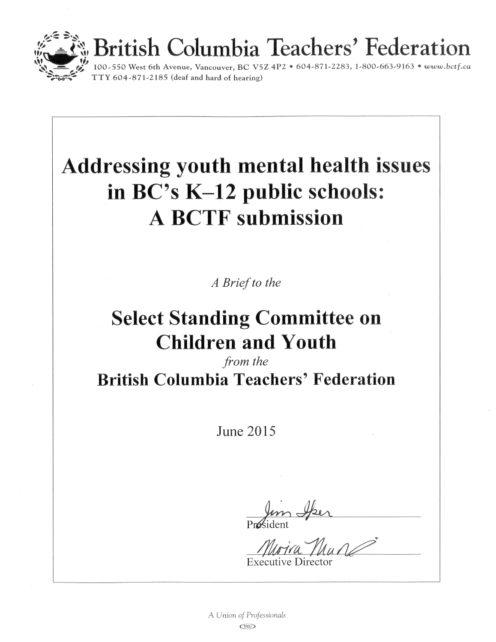

# British Columbia Teachers' Federation<br>100-550 West 6th Avenue, Vancouver, BC V5Z 4P2 • 604-871-2283, 1-800-663-9163 • www.bctf.ca

## **Addressing youth mental health issues** in BC's K-12 public schools: **A BCTF submission**

A Brief to the

## **Select Standing Committee on Children and Youth**

from the **British Columbia Teachers' Federation** 

**June 2015** 

Executive Directo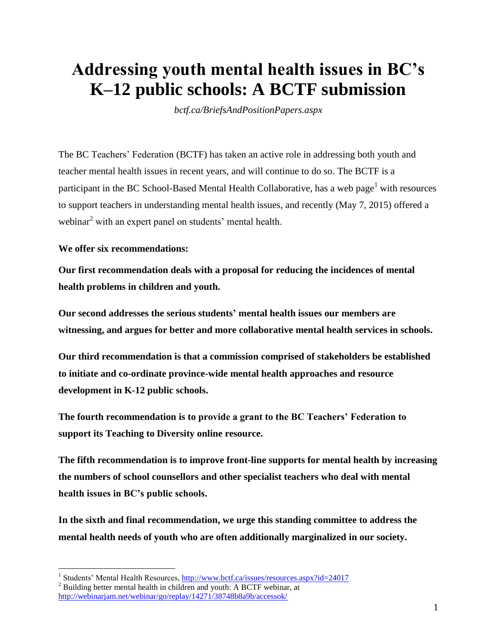## **Addressing youth mental health issues in BC's K–12 public schools: A BCTF submission**

*bctf.ca/BriefsAndPositionPapers.aspx*

The BC Teachers' Federation (BCTF) has taken an active role in addressing both youth and teacher mental health issues in recent years, and will continue to do so. The BCTF is a participant in the BC School-Based Mental Health Collaborative, has a web page<sup>1</sup> with resources to support teachers in understanding mental health issues, and recently (May 7, 2015) offered a webinar<sup>2</sup> with an expert panel on students' mental health.

#### **We offer six recommendations:**

**Our first recommendation deals with a proposal for reducing the incidences of mental health problems in children and youth.**

**Our second addresses the serious students' mental health issues our members are witnessing, and argues for better and more collaborative mental health services in schools.**

**Our third recommendation is that a commission comprised of stakeholders be established to initiate and co-ordinate province-wide mental health approaches and resource development in K-12 public schools.**

**The fourth recommendation is to provide a grant to the BC Teachers' Federation to support its Teaching to Diversity online resource.**

**The fifth recommendation is to improve front-line supports for mental health by increasing the numbers of school counsellors and other specialist teachers who deal with mental health issues in BC's public schools.**

**In the sixth and final recommendation, we urge this standing committee to address the mental health needs of youth who are often additionally marginalized in our society.**

 1 Students' Mental Health Resources,<http://www.bctf.ca/issues/resources.aspx?id=24017>

 $2$  Building better mental health in children and youth: A BCTF webinar, at

<http://webinarjam.net/webinar/go/replay/14271/38748b8a9b/accessok/>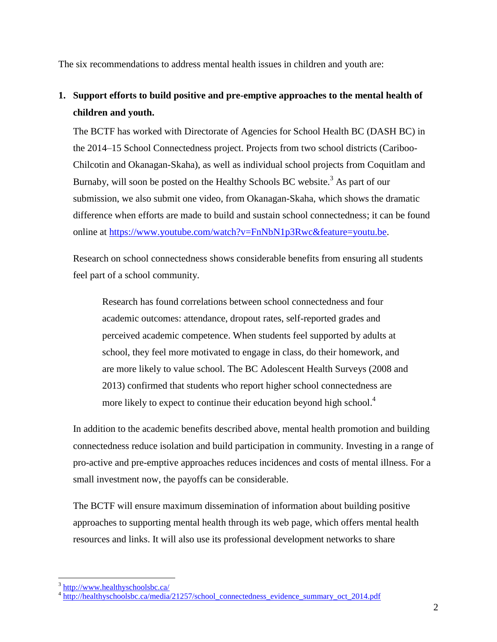The six recommendations to address mental health issues in children and youth are:

#### **1. Support efforts to build positive and pre-emptive approaches to the mental health of children and youth.**

The BCTF has worked with Directorate of Agencies for School Health BC (DASH BC) in the 2014–15 School Connectedness project. Projects from two school districts (Cariboo-Chilcotin and Okanagan-Skaha), as well as individual school projects from Coquitlam and Burnaby, will soon be posted on the Healthy Schools BC website.<sup>3</sup> As part of our submission, we also submit one video, from Okanagan-Skaha, which shows the dramatic difference when efforts are made to build and sustain school connectedness; it can be found online at [https://www.youtube.com/watch?v=FnNbN1p3Rwc&feature=youtu.be.](https://www.youtube.com/watch?v=FnNbN1p3Rwc&feature=youtu.be)

Research on school connectedness shows considerable benefits from ensuring all students feel part of a school community.

Research has found correlations between school connectedness and four academic outcomes: attendance, dropout rates, self-reported grades and perceived academic competence. When students feel supported by adults at school, they feel more motivated to engage in class, do their homework, and are more likely to value school. The BC Adolescent Health Surveys (2008 and 2013) confirmed that students who report higher school connectedness are more likely to expect to continue their education beyond high school.<sup>4</sup>

In addition to the academic benefits described above, mental health promotion and building connectedness reduce isolation and build participation in community. Investing in a range of pro-active and pre-emptive approaches reduces incidences and costs of mental illness. For a small investment now, the payoffs can be considerable.

The BCTF will ensure maximum dissemination of information about building positive approaches to supporting mental health through its web page, which offers mental health resources and links. It will also use its professional development networks to share

 $\overline{a}$ 

<sup>&</sup>lt;sup>3</sup> <http://www.healthyschoolsbc.ca/>

<sup>4</sup> [http://healthyschoolsbc.ca/media/21257/school\\_connectedness\\_evidence\\_summary\\_oct\\_2014.pdf](http://healthyschoolsbc.ca/media/21257/school_connectedness_evidence_summary_oct_2014.pdf)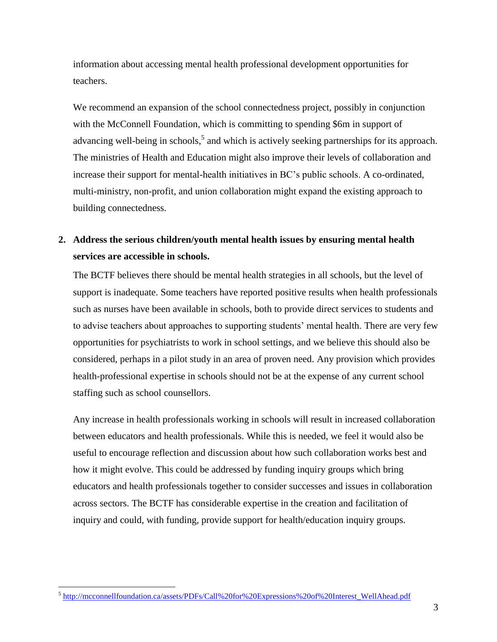information about accessing mental health professional development opportunities for teachers.

We recommend an expansion of the school connectedness project, possibly in conjunction with the McConnell Foundation, which is committing to spending \$6m in support of advancing well-being in schools,<sup>5</sup> and which is actively seeking partnerships for its approach. The ministries of Health and Education might also improve their levels of collaboration and increase their support for mental-health initiatives in BC's public schools. A co-ordinated, multi-ministry, non-profit, and union collaboration might expand the existing approach to building connectedness.

#### **2. Address the serious children/youth mental health issues by ensuring mental health services are accessible in schools.**

The BCTF believes there should be mental health strategies in all schools, but the level of support is inadequate. Some teachers have reported positive results when health professionals such as nurses have been available in schools, both to provide direct services to students and to advise teachers about approaches to supporting students' mental health. There are very few opportunities for psychiatrists to work in school settings, and we believe this should also be considered, perhaps in a pilot study in an area of proven need. Any provision which provides health-professional expertise in schools should not be at the expense of any current school staffing such as school counsellors.

Any increase in health professionals working in schools will result in increased collaboration between educators and health professionals. While this is needed, we feel it would also be useful to encourage reflection and discussion about how such collaboration works best and how it might evolve. This could be addressed by funding inquiry groups which bring educators and health professionals together to consider successes and issues in collaboration across sectors. The BCTF has considerable expertise in the creation and facilitation of inquiry and could, with funding, provide support for health/education inquiry groups.

 $\overline{a}$ 

<sup>&</sup>lt;sup>5</sup> [http://mcconnellfoundation.ca/assets/PDFs/Call%20for%20Expressions%20of%20Interest\\_WellAhead.pdf](http://mcconnellfoundation.ca/assets/PDFs/Call%20for%20Expressions%20of%20Interest_WellAhead.pdf)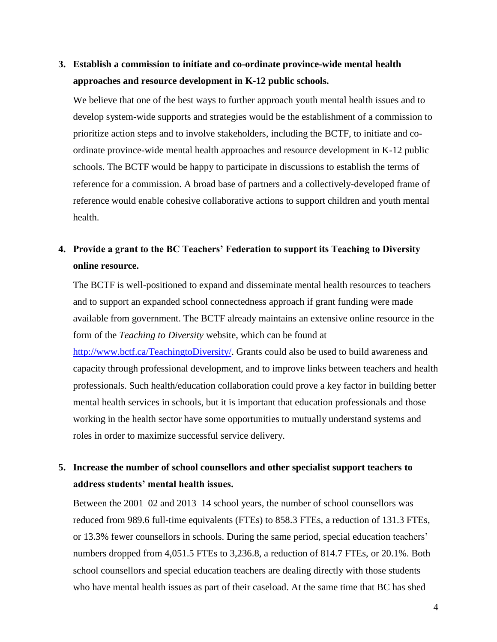#### **3. Establish a commission to initiate and co-ordinate province-wide mental health approaches and resource development in K-12 public schools.**

We believe that one of the best ways to further approach youth mental health issues and to develop system-wide supports and strategies would be the establishment of a commission to prioritize action steps and to involve stakeholders, including the BCTF, to initiate and coordinate province-wide mental health approaches and resource development in K-12 public schools. The BCTF would be happy to participate in discussions to establish the terms of reference for a commission. A broad base of partners and a collectively-developed frame of reference would enable cohesive collaborative actions to support children and youth mental health.

#### **4. Provide a grant to the BC Teachers' Federation to support its Teaching to Diversity online resource.**

The BCTF is well-positioned to expand and disseminate mental health resources to teachers and to support an expanded school connectedness approach if grant funding were made available from government. The BCTF already maintains an extensive online resource in the form of the *Teaching to Diversity* website, which can be found at [http://www.bctf.ca/TeachingtoDiversity/.](http://www.bctf.ca/TeachingtoDiversity/) Grants could also be used to build awareness and capacity through professional development, and to improve links between teachers and health professionals. Such health/education collaboration could prove a key factor in building better mental health services in schools, but it is important that education professionals and those working in the health sector have some opportunities to mutually understand systems and roles in order to maximize successful service delivery.

#### **5. Increase the number of school counsellors and other specialist support teachers to address students' mental health issues.**

Between the 2001–02 and 2013–14 school years, the number of school counsellors was reduced from 989.6 full-time equivalents (FTEs) to 858.3 FTEs, a reduction of 131.3 FTEs, or 13.3% fewer counsellors in schools. During the same period, special education teachers' numbers dropped from 4,051.5 FTEs to 3,236.8, a reduction of 814.7 FTEs, or 20.1%. Both school counsellors and special education teachers are dealing directly with those students who have mental health issues as part of their caseload. At the same time that BC has shed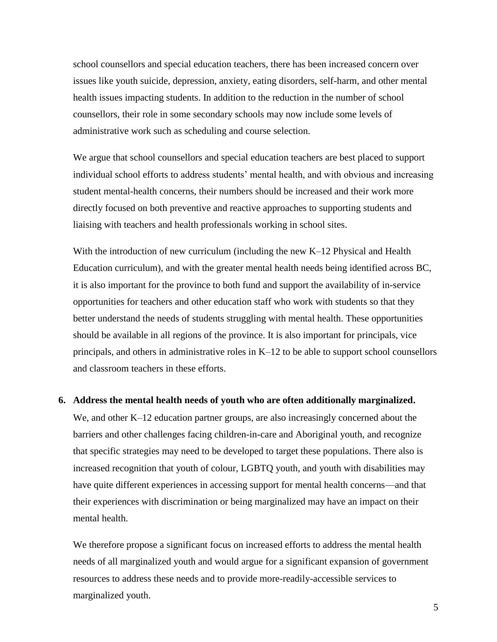school counsellors and special education teachers, there has been increased concern over issues like youth suicide, depression, anxiety, eating disorders, self-harm, and other mental health issues impacting students. In addition to the reduction in the number of school counsellors, their role in some secondary schools may now include some levels of administrative work such as scheduling and course selection.

We argue that school counsellors and special education teachers are best placed to support individual school efforts to address students' mental health, and with obvious and increasing student mental-health concerns, their numbers should be increased and their work more directly focused on both preventive and reactive approaches to supporting students and liaising with teachers and health professionals working in school sites.

With the introduction of new curriculum (including the new K–12 Physical and Health Education curriculum), and with the greater mental health needs being identified across BC, it is also important for the province to both fund and support the availability of in-service opportunities for teachers and other education staff who work with students so that they better understand the needs of students struggling with mental health. These opportunities should be available in all regions of the province. It is also important for principals, vice principals, and others in administrative roles in K–12 to be able to support school counsellors and classroom teachers in these efforts.

#### **6. Address the mental health needs of youth who are often additionally marginalized.**

We, and other K–12 education partner groups, are also increasingly concerned about the barriers and other challenges facing children-in-care and Aboriginal youth, and recognize that specific strategies may need to be developed to target these populations. There also is increased recognition that youth of colour, LGBTQ youth, and youth with disabilities may have quite different experiences in accessing support for mental health concerns—and that their experiences with discrimination or being marginalized may have an impact on their mental health.

We therefore propose a significant focus on increased efforts to address the mental health needs of all marginalized youth and would argue for a significant expansion of government resources to address these needs and to provide more-readily-accessible services to marginalized youth.